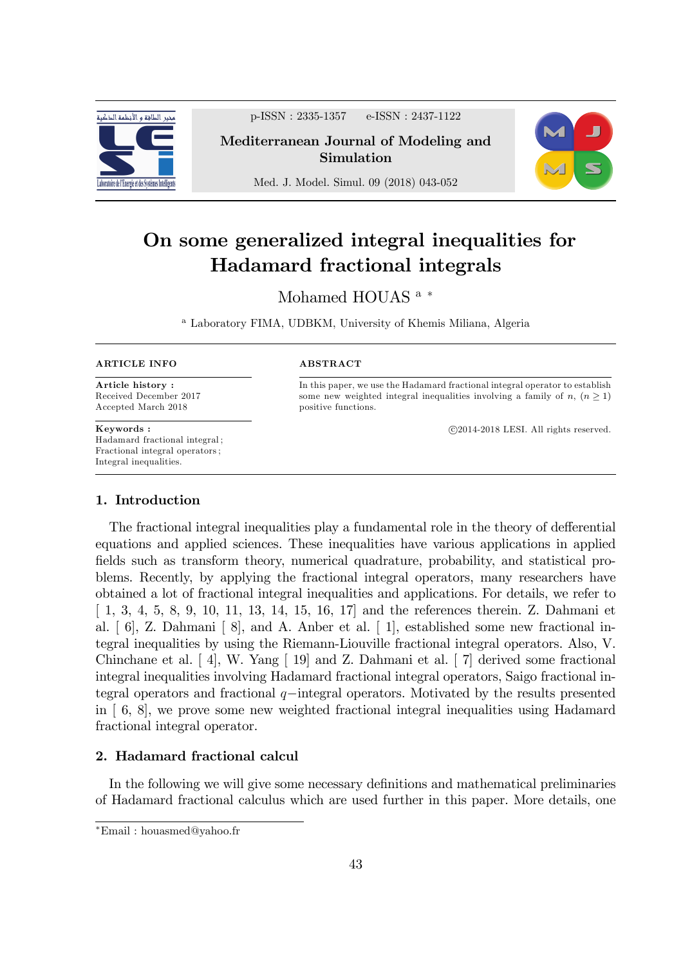

p-ISSN : 2335-1357 e-ISSN : 2437-1122

Mediterranean Journal of Modeling and Simulation



Med. J. Model. Simul. 09 (2018) 043-052

# On some generalized integral inequalities for Hadamard fractional integrals

# Mohamed HOUAS<sup>a</sub>\*</sup>

<sup>a</sup> Laboratory FIMA, UDBKM, University of Khemis Miliana, Algeria

#### ARTICLE INFO

Article history : Received December 2017 Accepted March 2018

Keywords : Hadamard fractional integral ; Fractional integral operators ; Integral inequalities.

#### ABSTRACT

In this paper, we use the Hadamard fractional integral operator to establish some new weighted integral inequalities involving a family of  $n, (n \geq 1)$ positive functions.

c 2014-2018 LESI. All rights reserved.

## 1. Introduction

The fractional integral inequalities play a fundamental role in the theory of defferential equations and applied sciences. These inequalities have various applications in applied fields such as transform theory, numerical quadrature, probability, and statistical problems. Recently, by applying the fractional integral operators, many researchers have obtained a lot of fractional integral inequalities and applications. For details, we refer to [ 1, 3, 4, 5, 8, 9, 10, 11, 13, 14, 15, 16, 17] and the references therein. Z. Dahmani et al. [ 6], Z. Dahmani [ 8], and A. Anber et al. [ 1], established some new fractional integral inequalities by using the Riemann-Liouville fractional integral operators. Also, V. Chinchane et al. [ 4], W. Yang [ 19] and Z. Dahmani et al. [ 7] derived some fractional integral inequalities involving Hadamard fractional integral operators, Saigo fractional integral operators and fractional  $q$ -integral operators. Motivated by the results presented in [ 6, 8], we prove some new weighted fractional integral inequalities using Hadamard fractional integral operator.

# 2. Hadamard fractional calcul

In the following we will give some necessary definitions and mathematical preliminaries of Hadamard fractional calculus which are used further in this paper. More details, one

Email : houasmed@yahoo.fr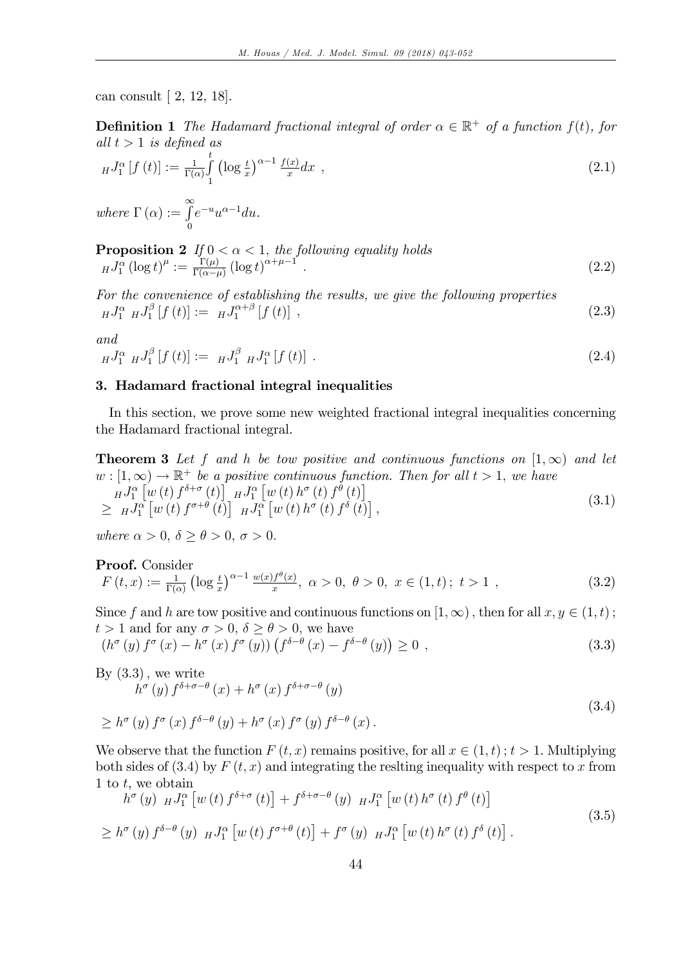can consult [ 2, 12, 18].

**Definition 1** The Hadamard fractional integral of order  $\alpha \in \mathbb{R}^+$  of a function  $f(t)$ , for all  $t > 1$  is defined as

$$
_HJ_1^{\alpha}[f(t)] := \frac{1}{\Gamma(\alpha)} \int\limits_1^t \left( \log \frac{t}{x} \right)^{\alpha - 1} \frac{f(x)}{x} dx , \qquad (2.1)
$$

where  $\Gamma(\alpha) := \int_{0}^{\infty}$  $\boldsymbol{0}$  $e^{-u}u^{\alpha-1}du$ .

**Proposition 2** If 
$$
0 < \alpha < 1
$$
, the following equality holds  
\n
$$
_HJ_1^{\alpha} (\log t)^{\mu} := \frac{\Gamma(\mu)}{\Gamma(\alpha - \mu)} (\log t)^{\alpha + \mu - 1}.
$$
\n(2.2)

For the convenience of establishing the results, we give the following properties  $_HJ_1^\alpha$   $_HJ_1^\beta$  $J_1^{\beta}$   $[f(t)] := HJ_1^{\alpha+\beta}$  $\int_{1}^{\alpha+\beta} [f(t)]$ , (2.3)

and

$$
_{H}J_{1}^{\alpha} {}_{H}J_{1}^{\beta}[f(t)]:=H_{1}J_{1}^{\beta} {}_{H}J_{1}^{\alpha}[f(t)]. \qquad (2.4)
$$

### 3. Hadamard fractional integral inequalities

In this section, we prove some new weighted fractional integral inequalities concerning the Hadamard fractional integral.

**Theorem 3** Let f and h be tow positive and continuous functions on  $[1,\infty)$  and let  $w: [1,\infty) \to \mathbb{R}^+$  be a positive continuous function. Then for all  $t > 1$ , we have  $_{H}J_{1}^{\alpha}\left[ w\left( t\right) f^{\delta+\sigma}\left( t\right) \right] _{-H}J_{1}^{\alpha}\left[ w\left( t\right) h^{\sigma}\left( t\right) f^{\theta}\left( t\right) \right]$  $\geq H J_1^{\alpha} \left[ w \left( t \right) f^{\sigma + \theta} \left( t \right) \right] H J_1^{\alpha} \left[ w \left( t \right) h^{\sigma} \left( t \right) f^{\delta} \left( t \right) \right],$ (3.1)

where  $\alpha > 0$ ,  $\delta > \theta > 0$ ,  $\sigma > 0$ .

**Proof.** Consider  
\n
$$
F(t,x) := \frac{1}{\Gamma(\alpha)} \left( \log \frac{t}{x} \right)^{\alpha - 1} \frac{w(x)f^{\theta}(x)}{x}, \ \alpha > 0, \ \theta > 0, \ x \in (1,t); \ t > 1 \ ,
$$
\n(3.2)

Since f and h are tow positive and continuous functions on  $[1,\infty)$ , then for all  $x, y \in (1,t)$ ;  $t > 1$  and for any  $\sigma > 0$ ,  $\delta \ge \theta > 0$ , we have

$$
\left(h^{\sigma}\left(y\right)f^{\sigma}\left(x\right)-h^{\sigma}\left(x\right)f^{\sigma}\left(y\right)\right)\left(f^{\delta-\theta}\left(x\right)-f^{\delta-\theta}\left(y\right)\right)\geq 0\tag{3.3}
$$

By (3.3), we write  
\n
$$
h^{\sigma}(y) f^{\delta+\sigma-\theta}(x) + h^{\sigma}(x) f^{\delta+\sigma-\theta}(y)
$$
\n
$$
\geq h^{\sigma}(y) f^{\sigma}(x) f^{\delta-\theta}(y) + h^{\sigma}(x) f^{\sigma}(y) f^{\delta-\theta}(x).
$$
\n(3.4)

We observe that the function  $F(t, x)$  remains positive, for all  $x \in (1, t)$ ;  $t > 1$ . Multiplying both sides of  $(3.4)$  by  $F(t, x)$  and integrating the resiting inequality with respect to x from 1 to  $t$ , we obtain

$$
h^{\sigma}(y) H J_1^{\alpha}[w(t) f^{\delta+\sigma}(t)] + f^{\delta+\sigma-\theta}(y) H J_1^{\alpha}[w(t) h^{\sigma}(t) f^{\theta}(t)]
$$
  
\n
$$
\geq h^{\sigma}(y) f^{\delta-\theta}(y) H J_1^{\alpha}[w(t) f^{\sigma+\theta}(t)] + f^{\sigma}(y) H J_1^{\alpha}[w(t) h^{\sigma}(t) f^{\delta}(t)].
$$
\n(3.5)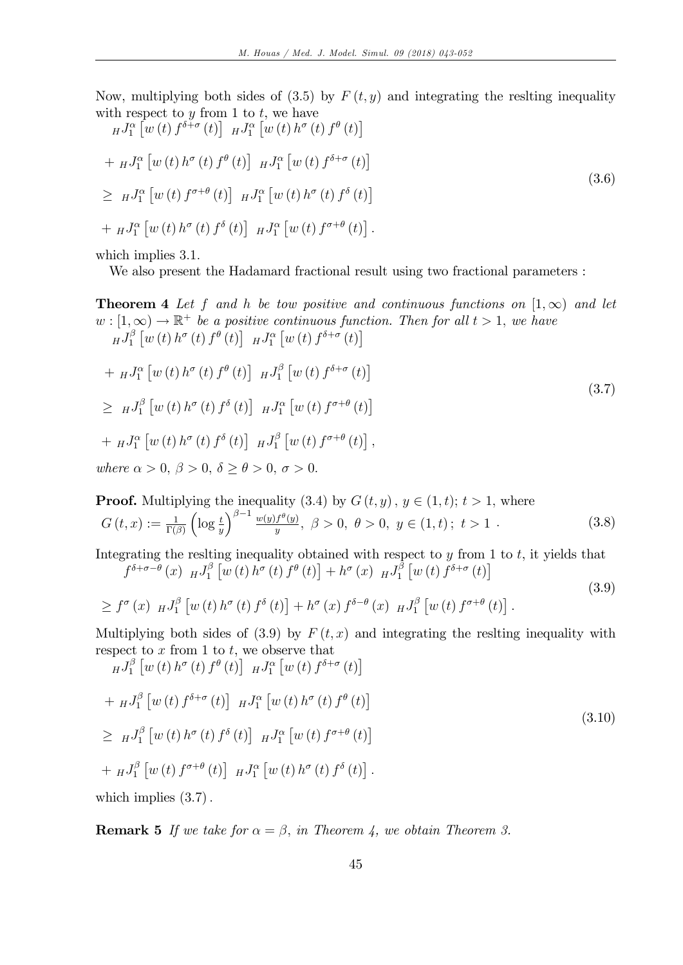Now, multiplying both sides of (3.5) by  $F(t, y)$  and integrating the resiting inequality with respect to  $y$  from 1 to  $t$ , we have

$$
{}_{H}J_{1}^{\alpha} \left[ w(t) f^{\delta+\sigma}(t) \right] {}_{H}J_{1}^{\alpha} \left[ w(t) h^{\sigma}(t) f^{\theta}(t) \right]
$$
  
+ 
$$
{}_{H}J_{1}^{\alpha} \left[ w(t) h^{\sigma}(t) f^{\theta}(t) \right] {}_{H}J_{1}^{\alpha} \left[ w(t) f^{\delta+\sigma}(t) \right]
$$
  

$$
\geq {}_{H}J_{1}^{\alpha} \left[ w(t) f^{\sigma+\theta}(t) \right] {}_{H}J_{1}^{\alpha} \left[ w(t) h^{\sigma}(t) f^{\delta}(t) \right]
$$
  
+ 
$$
{}_{H}J_{1}^{\alpha} \left[ w(t) h^{\sigma}(t) f^{\delta}(t) \right] {}_{H}J_{1}^{\alpha} \left[ w(t) f^{\sigma+\theta}(t) \right].
$$
  
(3.6)

which implies  $3.1$ .

We also present the Hadamard fractional result using two fractional parameters :

**Theorem 4** Let f and h be tow positive and continuous functions on  $[1,\infty)$  and let  $w: [1,\infty) \to \mathbb{R}^+$  be a positive continuous function. Then for all  $t > 1$ , we have  $_HJ_1^\beta$  $\int_{1}^{\beta} \left[w(t) h^{\sigma}(t) f^{\theta}(t)\right] H J_{1}^{\alpha}\left[w(t) f^{\delta+\sigma}(t)\right]$  $+ H J_{1}^{\alpha} \left[ w \left( t \right) h^{\sigma} \left( t \right) f^{\theta} \left( t \right) \right] H J_{1}^{\beta}$  $\int_{1}^{\beta} \left[w(t) \, f^{\delta+\sigma}(t)\right]$  $\geq H^{J_1^{\beta}}$  $\int_{1}^{\beta} \left[w(t) h^{\sigma}(t) f^{\delta}(t)\right] H J_{1}^{\alpha}\left[w(t) f^{\sigma+\theta}(t)\right]$  $+$   $_{H}J_{1}^{\alpha}\left[ w\left( t\right) h^{\sigma}\left( t\right) f^{\delta}\left( t\right) \right]$   $_{H}J_{1}^{\beta}$  $f_1^{\beta}$   $\left[w(t) f^{\sigma+\theta}(t)\right]$ , (3.7) where  $\alpha > 0$ ,  $\beta > 0$ ,  $\delta > \theta > 0$ ,  $\sigma > 0$ .

**Proof.** Multiplying the inequality (3.4) by  $G(t, y)$ ,  $y \in (1, t); t > 1$ , where  $G\left(t,x\right):=\frac{1}{\Gamma\left(\beta\right)}$  $\left(\log\frac{t}{y}\right)$  $\int^{\beta-1} w(y) f^{\theta}(y)$  $y^{\frac{f^{\theta}(y)}{y}}, \ \beta > 0, \ \theta > 0, \ y \in (1, t); \ t > 1.$  (3.8)

Integrating the reslting inequality obtained with respect to  $y$  from 1 to  $t$ , it yields that  $f^{\delta+\sigma-\theta}(x)$   $_HJ_1^{\beta}$  $\int_{1}^{\beta} \left[w\left(t\right)h^{\sigma}\left(t\right)f^{\theta}\left(t\right)\right] + h^{\sigma}\left(x\right) H J_{1}^{\beta}$  $\int_{1}^{\beta} \left[w\left(t\right) f^{\delta+\sigma}\left(t\right)\right]$ 

$$
\geq f^{\sigma}(x) H J_1^{\beta} [w(t) h^{\sigma}(t) f^{\delta}(t)] + h^{\sigma}(x) f^{\delta-\theta}(x) H J_1^{\beta} [w(t) f^{\sigma+\theta}(t)].
$$
\n(3.9)

Multiplying both sides of (3.9) by  $F(t, x)$  and integrating the resiting inequality with respect to  $x$  from 1 to  $t$ , we observe that

$$
{}_{H}J_{1}^{\beta} \left[ w(t) h^{\sigma}(t) f^{\theta}(t) \right] {}_{H}J_{1}^{\alpha} \left[ w(t) f^{\delta+\sigma}(t) \right]
$$
  
+ 
$$
{}_{H}J_{1}^{\beta} \left[ w(t) f^{\delta+\sigma}(t) \right] {}_{H}J_{1}^{\alpha} \left[ w(t) h^{\sigma}(t) f^{\theta}(t) \right]
$$
  

$$
\geq {}_{H}J_{1}^{\beta} \left[ w(t) h^{\sigma}(t) f^{\delta}(t) \right] {}_{H}J_{1}^{\alpha} \left[ w(t) f^{\sigma+\theta}(t) \right]
$$
  
+ 
$$
{}_{H}J_{1}^{\beta} \left[ w(t) f^{\sigma+\theta}(t) \right] {}_{H}J_{1}^{\alpha} \left[ w(t) h^{\sigma}(t) f^{\delta}(t) \right].
$$
  
(3.10)

which implies  $(3.7)$ .

**Remark 5** If we take for  $\alpha = \beta$ , in Theorem 4, we obtain Theorem 3.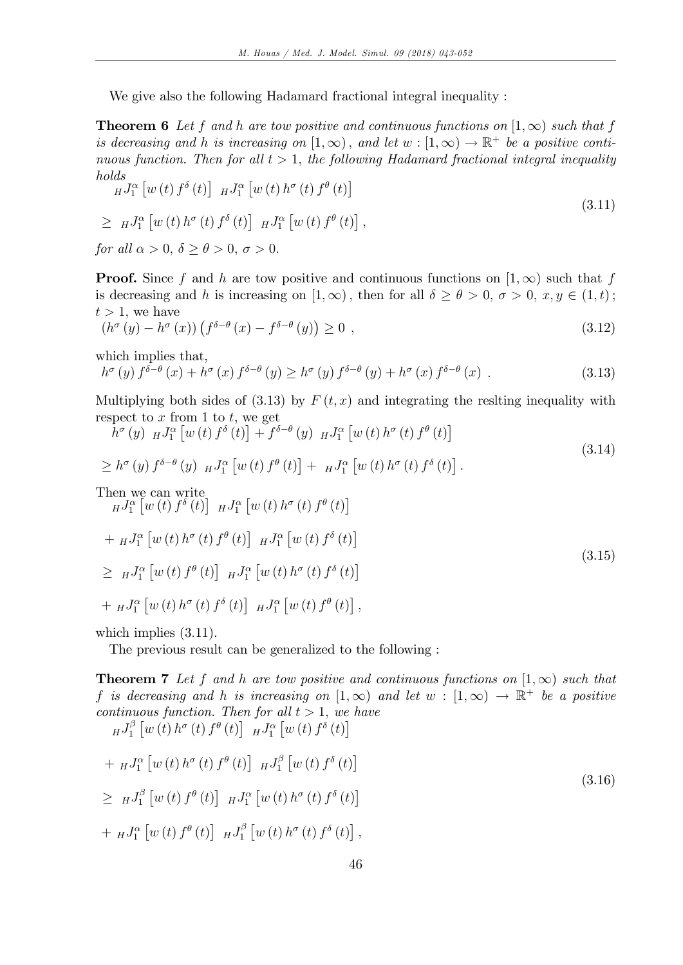We give also the following Hadamard fractional integral inequality :

**Theorem 6** Let f and h are tow positive and continuous functions on  $[1,\infty)$  such that f is decreasing and h is increasing on  $[1,\infty)$ , and let  $w : [1,\infty) \to \mathbb{R}^+$  be a positive continuous function. Then for all  $t > 1$ , the following Hadamard fractional integral inequality holds

$$
HJ_1^{\alpha} [w(t) f^{\delta}(t)] HJ_1^{\alpha} [w(t) h^{\sigma}(t) f^{\theta}(t)]
$$
  
\n
$$
\geq HJ_1^{\alpha} [w(t) h^{\sigma}(t) f^{\delta}(t)] HJ_1^{\alpha} [w(t) f^{\theta}(t)],
$$
  
\nfor all  $\alpha > 0$ ,  $\delta \geq \theta > 0$ ,  $\sigma > 0$ .  
\n(3.11)

**Proof.** Since f and h are tow positive and continuous functions on  $[1,\infty)$  such that f is decreasing and h is increasing on  $[1,\infty)$ , then for all  $\delta \ge \theta > 0$ ,  $\sigma > 0$ ,  $x, y \in (1,t)$ ;  $t > 1$ , we have

$$
\left(h^{\sigma}\left(y\right) - h^{\sigma}\left(x\right)\right)\left(f^{\delta-\theta}\left(x\right) - f^{\delta-\theta}\left(y\right)\right) \ge 0 \tag{3.12}
$$

which implies that,

$$
h^{\sigma}(y) f^{\delta-\theta}(x) + h^{\sigma}(x) f^{\delta-\theta}(y) \geq h^{\sigma}(y) f^{\delta-\theta}(y) + h^{\sigma}(x) f^{\delta-\theta}(x) . \tag{3.13}
$$

Multiplying both sides of  $(3.13)$  by  $F(t, x)$  and integrating the reslting inequality with respect to  $x$  from 1 to  $t$ , we get

$$
\bar{h}^{\sigma}(y) \, HJ_{1}^{\alpha} \left[ w(t) \, f^{\delta}(t) \right] + \bar{f}^{\delta-\theta}(y) \, HJ_{1}^{\alpha} \left[ w(t) \, h^{\sigma}(t) \, f^{\theta}(t) \right]
$$
\n
$$
\geq h^{\sigma}(y) \, f^{\delta-\theta}(y) \, HJ_{1}^{\alpha} \left[ w(t) \, f^{\theta}(t) \right] + \, HJ_{1}^{\alpha} \left[ w(t) \, h^{\sigma}(t) \, f^{\delta}(t) \right].
$$
\nThen we can write\n
$$
\bar{H}^{J}_{1}^{\alpha} \left[ w(t) \, f^{\delta}(t) \right] \, HJ_{1}^{\alpha} \left[ w(t) \, h^{\sigma}(t) \, f^{\theta}(t) \right]
$$
\n
$$
+ \, HJ_{1}^{\alpha} \left[ w(t) \, h^{\sigma}(t) \, f^{\theta}(t) \right] \, HJ_{1}^{\alpha} \left[ w(t) \, f^{\delta}(t) \right]
$$
\n
$$
\geq \, HJ_{1}^{\alpha} \left[ w(t) \, f^{\theta}(t) \right] \, HJ_{1}^{\alpha} \left[ w(t) \, h^{\sigma}(t) \, f^{\delta}(t) \right]
$$
\n
$$
+ \, HJ_{1}^{\alpha} \left[ w(t) \, h^{\sigma}(t) \, f^{\delta}(t) \right] \, HJ_{1}^{\alpha} \left[ w(t) \, f^{\theta}(t) \right],
$$
\n(3.15)

which implies  $(3.11)$ .

The previous result can be generalized to the following :

**Theorem 7** Let f and h are tow positive and continuous functions on  $[1,\infty)$  such that f is decreasing and h is increasing on  $[1,\infty)$  and let  $w : [1,\infty) \to \mathbb{R}^+$  be a positive continuous function. Then for all  $t > 1$ , we have  $_HJ_1^\beta$  $\int_{1}^{\beta}\left[w\left(t\right)h^{\sigma}\left(t\right)f^{\theta}\left(t\right)\right]$   $_{H}J_{1}^{\alpha}\left[w\left(t\right)f^{\delta}\left(t\right)\right]$ 

+ 
$$
_HJ_1^{\alpha} [w(t) h^{\sigma}(t) f^{\theta}(t)] HJ_1^{\beta} [w(t) f^{\delta}(t)]
$$
  
\n
$$
\geq HJ_1^{\beta} [w(t) f^{\theta}(t)] HJ_1^{\alpha} [w(t) h^{\sigma}(t) f^{\delta}(t)]
$$
  
\n+ 
$$
_HJ_1^{\alpha} [w(t) f^{\theta}(t)] HJ_1^{\beta} [w(t) h^{\sigma}(t) f^{\delta}(t)],
$$
 (3.16)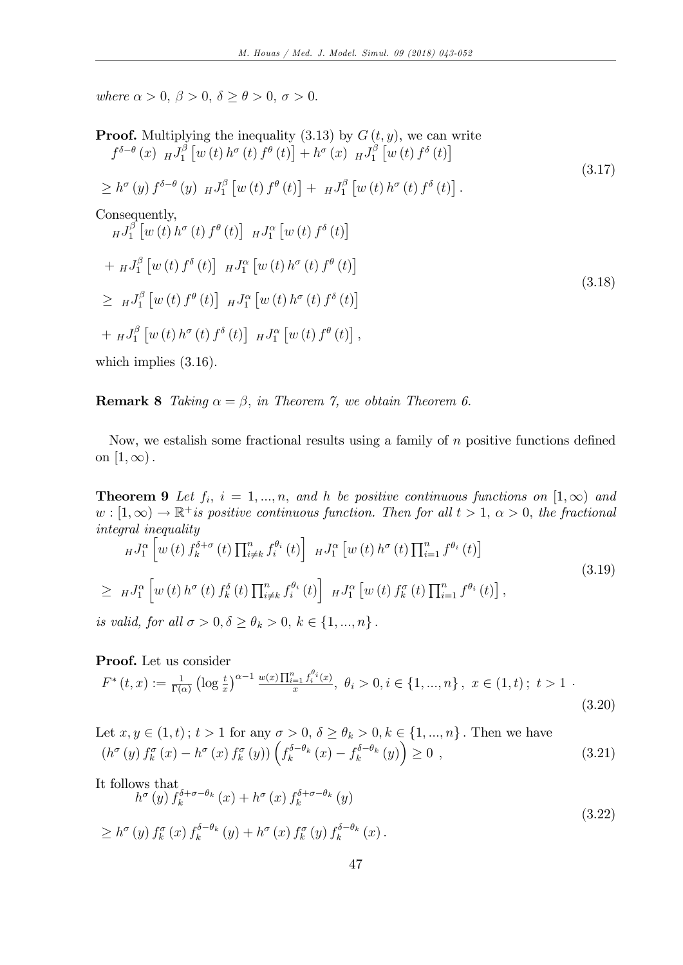where  $\alpha > 0$ ,  $\beta > 0$ ,  $\delta \ge \theta > 0$ ,  $\sigma > 0$ .

**Proof.** Multiplying the inequality (3.13) by 
$$
G(t, y)
$$
, we can write  
\n
$$
f^{\delta-\theta}(x) \, HJ_1^{\beta} \left[ w(t) \, h^{\sigma}(t) \, f^{\theta}(t) \right] + h^{\sigma}(x) \, HJ_1^{\beta} \left[ w(t) \, f^{\delta}(t) \right]
$$
\n
$$
\geq h^{\sigma}(y) \, f^{\delta-\theta}(y) \, HJ_1^{\beta} \left[ w(t) \, f^{\theta}(t) \right] + HJ_1^{\beta} \left[ w(t) \, h^{\sigma}(t) \, f^{\delta}(t) \right].
$$
\nConsequently,  
\n
$$
HJ_1^{\beta} \left[ w(t) \, h^{\sigma}(t) \, f^{\theta}(t) \right] \, HJ_1^{\alpha} \left[ w(t) \, f^{\delta}(t) \right]
$$
\n
$$
+ HJ_1^{\beta} \left[ w(t) \, f^{\delta}(t) \right] \, HJ_1^{\alpha} \left[ w(t) \, h^{\sigma}(t) \, f^{\theta}(t) \right]
$$
\n
$$
\geq HJ_1^{\beta} \left[ w(t) \, f^{\theta}(t) \right] \, HJ_1^{\alpha} \left[ w(t) \, h^{\sigma}(t) \, f^{\delta}(t) \right]
$$
\n
$$
+ HJ_1^{\beta} \left[ w(t) \, h^{\sigma}(t) \, f^{\delta}(t) \right] \, HJ_1^{\alpha} \left[ w(t) \, f^{\theta}(t) \right],
$$
\n(3.18)

which implies  $(3.16)$ .

**Remark 8** Taking  $\alpha = \beta$ , in Theorem 7, we obtain Theorem 6.

Now, we estalish some fractional results using a family of  $n$  positive functions defined on  $[1,\infty)$ .

**Theorem 9** Let  $f_i$ ,  $i = 1,...,n$ , and h be positive continuous functions on  $[1,\infty)$  and  $w : [1, \infty) \to \mathbb{R}^+$  is positive continuous function. Then for all  $t > 1$ ,  $\alpha > 0$ , the fractional integral inequality

$$
HJ_{1}^{\alpha}\left[w\left(t\right)f_{k}^{\delta+\sigma}\left(t\right)\prod_{i\neq k}^{n}f_{i}^{\theta_{i}}\left(t\right)\right]HJ_{1}^{\alpha}\left[w\left(t\right)h^{\sigma}\left(t\right)\prod_{i=1}^{n}f^{\theta_{i}}\left(t\right)\right]
$$
\n
$$
\geq HJ_{1}^{\alpha}\left[w\left(t\right)h^{\sigma}\left(t\right)f_{k}^{\delta}\left(t\right)\prod_{i\neq k}^{n}f_{i}^{\theta_{i}}\left(t\right)\right]HJ_{1}^{\alpha}\left[w\left(t\right)f_{k}^{\sigma}\left(t\right)\prod_{i=1}^{n}f^{\theta_{i}}\left(t\right)\right],
$$
\n(3.19)

is valid, for all  $\sigma > 0, \delta \ge \theta_k > 0, k \in \{1, ..., n\}$ .

Proof. Let us consider

$$
F^*(t, x) := \frac{1}{\Gamma(\alpha)} \left( \log \frac{t}{x} \right)^{\alpha - 1} \frac{w(x) \prod_{i=1}^n f_i^{\theta_i}(x)}{x}, \ \theta_i > 0, i \in \{1, ..., n\}, \ x \in (1, t); \ t > 1 \tag{3.20}
$$

Let 
$$
x, y \in (1, t)
$$
;  $t > 1$  for any  $\sigma > 0$ ,  $\delta \ge \theta_k > 0$ ,  $k \in \{1, ..., n\}$ . Then we have  
\n
$$
(h^{\sigma}(y) f^{\sigma}_k(x) - h^{\sigma}(x) f^{\sigma}_k(y)) \left( f^{\delta - \theta_k}_k(x) - f^{\delta - \theta_k}_k(y) \right) \ge 0,
$$
\n(3.21)

It follows that

$$
h^{\sigma}(y) f_k^{\delta + \sigma - \theta_k}(x) + h^{\sigma}(x) f_k^{\delta + \sigma - \theta_k}(y)
$$
  
\n
$$
\geq h^{\sigma}(y) f_k^{\sigma}(x) f_k^{\delta - \theta_k}(y) + h^{\sigma}(x) f_k^{\sigma}(y) f_k^{\delta - \theta_k}(x).
$$
\n(3.22)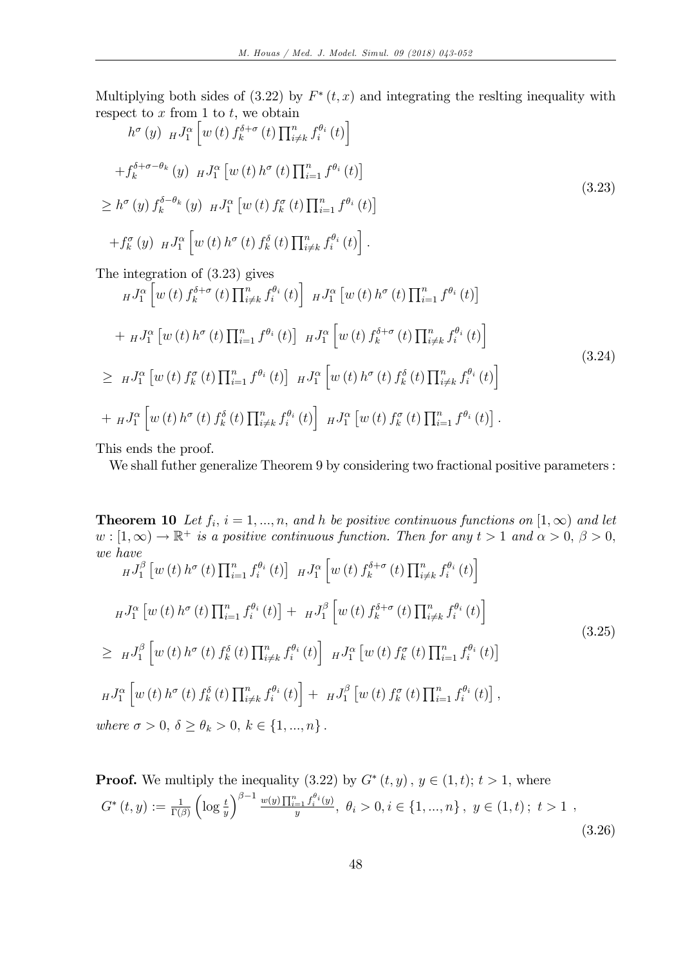Multiplying both sides of  $(3.22)$  by  $F^*(t, x)$  and integrating the reslting inequality with respect to  $x$  from 1 to  $t$ , we obtain

$$
h^{\sigma}(y) \, H^{J^{\alpha}_{1}}\left[w\left(t\right) \int_{k}^{\delta+\sigma}(t) \prod_{i\neq k}^{n} f_{i}^{\theta_{i}}\left(t\right)\right]
$$
\n
$$
+ f_{k}^{\delta+\sigma-\theta_{k}}(y) \, H^{J^{\alpha}_{1}}\left[w\left(t\right) h^{\sigma}\left(t\right) \prod_{i=1}^{n} f^{\theta_{i}}\left(t\right)\right]
$$
\n
$$
\geq h^{\sigma}(y) f_{k}^{\delta-\theta_{k}}(y) \, H^{J^{\alpha}_{1}}\left[w\left(t\right) f_{k}^{\sigma}\left(t\right) \prod_{i=1}^{n} f^{\theta_{i}}\left(t\right)\right]
$$
\n
$$
+ f_{k}^{\sigma}(y) \, H^{J^{\alpha}_{1}}\left[w\left(t\right) h^{\sigma}\left(t\right) f_{k}^{\delta}\left(t\right) \prod_{i\neq k}^{n} f_{i}^{\theta_{i}}\left(t\right)\right].
$$
\n(3.23)

The integration of (3:23) gives

$$
H^{J_{\alpha}^{\alpha}}[w(t) f_{k}^{\delta+\sigma}(t) \prod_{i\neq k}^{n} f_{i}^{\theta_{i}}(t)] H^{J_{\alpha}^{\alpha}}[w(t) h^{\sigma}(t) \prod_{i=1}^{n} f^{\theta_{i}}(t)]
$$
  
+ 
$$
H^{J_{\alpha}^{\alpha}}[w(t) h^{\sigma}(t) \prod_{i=1}^{n} f^{\theta_{i}}(t)] H^{J_{\alpha}^{\alpha}}[w(t) f_{k}^{\delta+\sigma}(t) \prod_{i\neq k}^{n} f_{i}^{\theta_{i}}(t)]
$$
  

$$
\geq H^{J_{\alpha}^{\alpha}}[w(t) f_{k}^{\sigma}(t) \prod_{i=1}^{n} f^{\theta_{i}}(t)] H^{J_{\alpha}^{\alpha}}[w(t) h^{\sigma}(t) f_{k}^{\delta}(t) \prod_{i\neq k}^{n} f_{i}^{\theta_{i}}(t)]
$$
  
+ 
$$
H^{J_{\alpha}^{\alpha}}[w(t) h^{\sigma}(t) f_{k}^{\delta}(t) \prod_{i\neq k}^{n} f_{i}^{\theta_{i}}(t)] H^{J_{\alpha}}[w(t) f_{k}^{\sigma}(t) \prod_{i=1}^{n} f^{\theta_{i}}(t)].
$$
  
(3.24)

This ends the proof.

We shall futher generalize Theorem 9 by considering two fractional positive parameters :

**Theorem 10** Let  $f_i$ ,  $i = 1, ..., n$ , and h be positive continuous functions on  $[1, \infty)$  and let  $w: [1, \infty) \to \mathbb{R}^+$  is a positive continuous function. Then for any  $t > 1$  and  $\alpha > 0, \beta > 0$ , we have h i

$$
HJ_1^{\beta} [w(t) h^{\sigma}(t) \prod_{i=1}^n f_i^{\theta_i}(t)] HJ_1^{\alpha} [w(t) f_k^{\delta+\sigma}(t) \prod_{i \neq k}^n f_i^{\theta_i}(t)]
$$
  
\n
$$
HJ_1^{\alpha} [w(t) h^{\sigma}(t) \prod_{i=1}^n f_i^{\theta_i}(t)] + HJ_1^{\beta} [w(t) f_k^{\delta+\sigma}(t) \prod_{i \neq k}^n f_i^{\theta_i}(t)]
$$
  
\n
$$
\geq HJ_1^{\beta} [w(t) h^{\sigma}(t) f_k^{\delta}(t) \prod_{i \neq k}^n f_i^{\theta_i}(t)] HJ_1^{\alpha} [w(t) f_k^{\sigma}(t) \prod_{i=1}^n f_i^{\theta_i}(t)]
$$
  
\n
$$
HJ_1^{\alpha} [w(t) h^{\sigma}(t) f_k^{\delta}(t) \prod_{i \neq k}^n f_i^{\theta_i}(t)] + HJ_1^{\beta} [w(t) f_k^{\sigma}(t) \prod_{i=1}^n f_i^{\theta_i}(t)],
$$
  
\nwhere  $\sigma > 0, \delta \geq \theta_k > 0, k \in \{1, ..., n\}.$ 

**Proof.** We multiply the inequality  $(3.22)$  by  $G^*(t, y)$ ,  $y \in (1, t)$ ;  $t > 1$ , where  $G^{*}\left(t,y\right):=\frac{1}{\Gamma\left(\beta\right)}$  $\left(\log \frac{t}{y}\right)$  $\int^{\beta-1} \frac{w(y) \prod_{i=1}^n f_i^{\theta_i}(y)}{y}$  $\frac{y_i = \{j : t_i^{(i)}(y)}{y_j}, \theta_i > 0, i \in \{1, ..., n\}, y \in (1, t); t > 1,$ (3.26)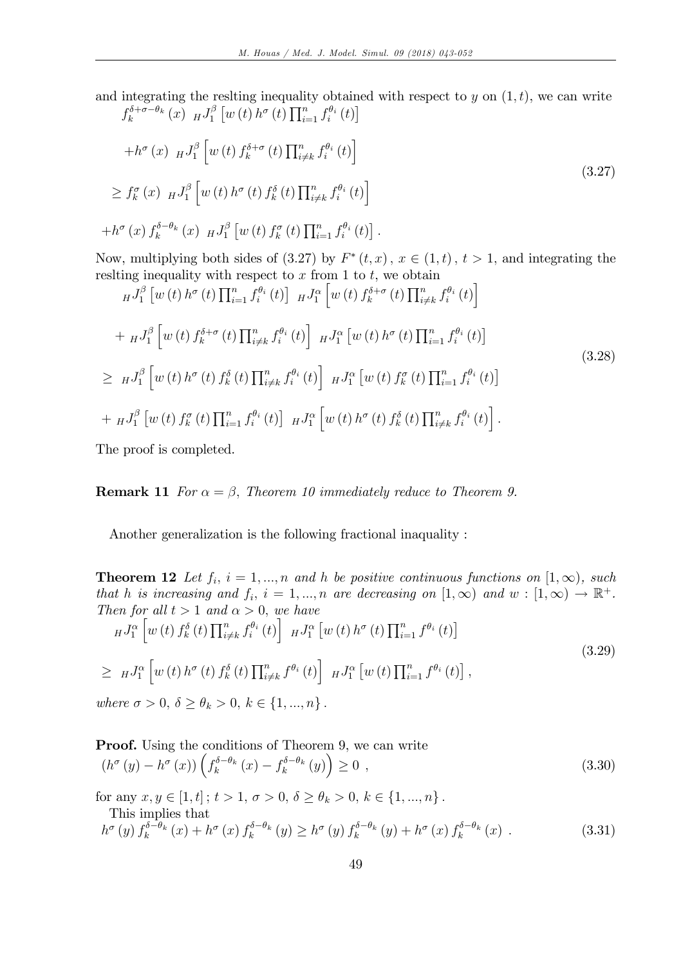and integrating the reslting inequality obtained with respect to  $y$  on  $(1, t)$ , we can write  $f_k^{\delta+\sigma-\theta_k}(x)$   $_HJ_1^{\beta}$  $\int_{1}^{\beta} \left[w(t) h^{\sigma}(t) \prod_{i=1}^{n} f_{i}^{\theta_{i}}(t)\right]$ 

$$
+h^{\sigma}(x) \, HJ_1^{\beta} \left[ w(t) \, f_k^{\delta+\sigma}(t) \prod_{i \neq k}^n f_i^{\theta_i}(t) \right]
$$
\n
$$
\geq f_k^{\sigma}(x) \, HJ_1^{\beta} \left[ w(t) \, h^{\sigma}(t) \, f_k^{\delta}(t) \prod_{i \neq k}^n f_i^{\theta_i}(t) \right]
$$
\n
$$
+h^{\sigma}(x) \, f_k^{\delta-\theta_k}(x) \, HJ_1^{\beta} \left[ w(t) \, f_k^{\sigma}(t) \prod_{i=1}^n f_i^{\theta_i}(t) \right].
$$
\n(3.27)

Now, multiplying both sides of  $(3.27)$  by  $F^*(t, x)$ ,  $x \in (1, t)$ ,  $t > 1$ , and integrating the reslting inequality with respect to  $x$  from 1 to  $t$ , we obtain

$$
HJ_{1}^{\beta}\left[w\left(t\right)h^{\sigma}\left(t\right)\prod_{i=1}^{n}f_{i}^{\theta_{i}}\left(t\right)\right]HJ_{1}^{\alpha}\left[w\left(t\right)f_{k}^{\delta+\sigma}\left(t\right)\prod_{i\neq k}^{n}f_{i}^{\theta_{i}}\left(t\right)\right]
$$
  
+ 
$$
HJ_{1}^{\beta}\left[w\left(t\right)f_{k}^{\delta+\sigma}\left(t\right)\prod_{i\neq k}^{n}f_{i}^{\theta_{i}}\left(t\right)\right]HJ_{1}^{\alpha}\left[w\left(t\right)h^{\sigma}\left(t\right)\prod_{i=1}^{n}f_{i}^{\theta_{i}}\left(t\right)\right]
$$
  

$$
\geq HJ_{1}^{\beta}\left[w\left(t\right)h^{\sigma}\left(t\right)f_{k}^{\delta}\left(t\right)\prod_{i\neq k}^{n}f_{i}^{\theta_{i}}\left(t\right)\right]HJ_{1}^{\alpha}\left[w\left(t\right)f_{k}^{\sigma}\left(t\right)\prod_{i=1}^{n}f_{i}^{\theta_{i}}\left(t\right)\right]
$$
  
+ 
$$
HJ_{1}^{\beta}\left[w\left(t\right)f_{k}^{\sigma}\left(t\right)\prod_{i=1}^{n}f_{i}^{\theta_{i}}\left(t\right)\right]HJ_{1}^{\alpha}\left[w\left(t\right)h^{\sigma}\left(t\right)f_{k}^{\delta}\left(t\right)\prod_{i\neq k}^{n}f_{i}^{\theta_{i}}\left(t\right)\right].
$$
  
(3.28)

The proof is completed.

**Remark 11** For  $\alpha = \beta$ , Theorem 10 immediately reduce to Theorem 9.

Another generalization is the following fractional inaquality :

**Theorem 12** Let  $f_i$ ,  $i = 1, ..., n$  and h be positive continuous functions on  $[1, \infty)$ , such that h is increasing and  $f_i$ ,  $i = 1, ..., n$  are decreasing on  $[1, \infty)$  and  $w : [1, \infty) \to \mathbb{R}^+$ . Then for all  $t > 1$  and  $\alpha > 0$ , we have

$$
HJ_1^{\alpha} \left[ w(t) f_k^{\delta}(t) \prod_{i \neq k}^n f_i^{\theta_i}(t) \right] HJ_1^{\alpha} \left[ w(t) h^{\sigma}(t) \prod_{i=1}^n f^{\theta_i}(t) \right]
$$
  
\n
$$
\geq HJ_1^{\alpha} \left[ w(t) h^{\sigma}(t) f_k^{\delta}(t) \prod_{i \neq k}^n f^{\theta_i}(t) \right] HJ_1^{\alpha} \left[ w(t) \prod_{i=1}^n f^{\theta_i}(t) \right],
$$
  
\nwhere  $\sigma > 0$ ,  $\delta > \theta$ ,  $> 0$ ,  $k \in \{1, \ldots, n\}$ 

where  $\sigma > 0, \, \delta \geq \theta_k > 0, \, k \in \{1, ..., n\}$ .

**Proof.** Using the conditions of Theorem 9, we can write  
\n
$$
(h^{\sigma}(y) - h^{\sigma}(x)) \left( f_k^{\delta-\theta_k}(x) - f_k^{\delta-\theta_k}(y) \right) \ge 0,
$$
\n(3.30)

for any  $x, y \in [1, t]$ ;  $t > 1$ ,  $\sigma > 0$ ,  $\delta \ge \theta_k > 0$ ,  $k \in \{1, ..., n\}$ .

This implies that

$$
h^{\sigma}(y) f_k^{\delta-\theta_k}(x) + h^{\sigma}(x) f_k^{\delta-\theta_k}(y) \ge h^{\sigma}(y) f_k^{\delta-\theta_k}(y) + h^{\sigma}(x) f_k^{\delta-\theta_k}(x) . \tag{3.31}
$$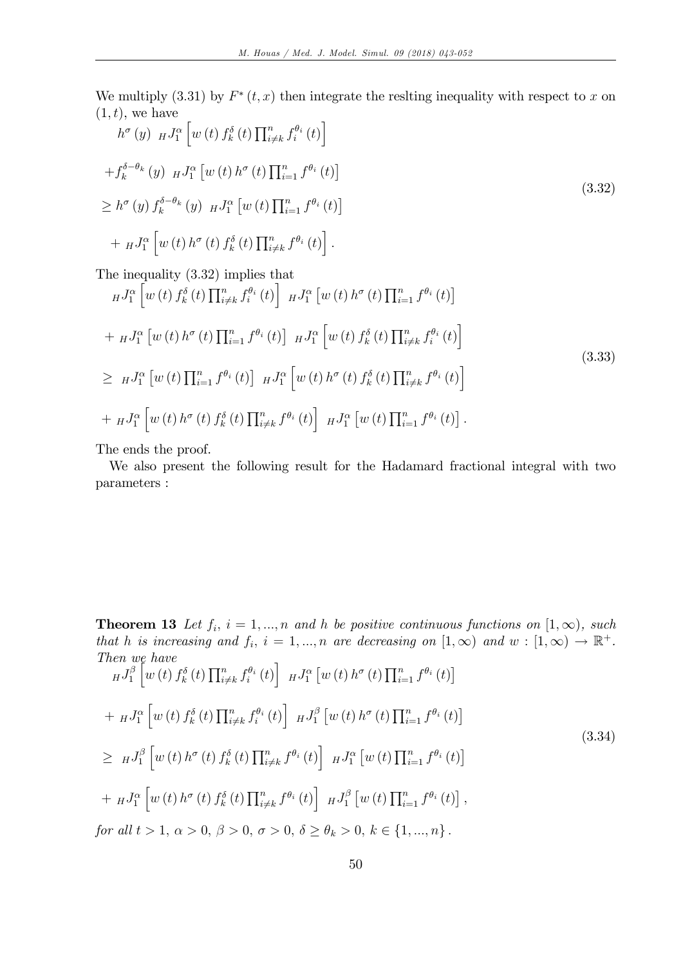We multiply  $(3.31)$  by  $F^*(t, x)$  then integrate the resiting inequality with respect to x on  $(1, t)$ , we have

$$
h^{\sigma}(y) \, H^{J^{\alpha}_{1}}\left[w\left(t\right) f^{\delta}_{k}\left(t\right) \prod_{i\neq k}^{n} f^{ \theta_{i}}_{i}\left(t\right)\right]
$$
\n
$$
+ f^{\delta-\theta_{k}}_{k}\left(y\right) \, H^{J^{\alpha}_{1}}\left[w\left(t\right) h^{\sigma}\left(t\right) \prod_{i=1}^{n} f^{\theta_{i}}\left(t\right)\right]
$$
\n
$$
\geq h^{\sigma}\left(y\right) f^{\delta-\theta_{k}}_{k}\left(y\right) \, H^{J^{\alpha}_{1}}\left[w\left(t\right) \prod_{i=1}^{n} f^{\theta_{i}}\left(t\right)\right]
$$
\n
$$
+ \, H^{J^{\alpha}_{1}}\left[w\left(t\right) h^{\sigma}\left(t\right) f^{\delta}_{k}\left(t\right) \prod_{i\neq k}^{n} f^{\theta_{i}}\left(t\right)\right].
$$
\n(3.32)

The inequality (3:32) implies that

$$
{}_{H}J_{1}^{\alpha}\left[w(t) f_{k}^{\delta}(t) \prod_{i \neq k}^{n} f_{i}^{\theta_{i}}(t)\right] {}_{H}J_{1}^{\alpha}\left[w(t) h^{\sigma}(t) \prod_{i=1}^{n} f^{\theta_{i}}(t)\right] + {}_{H}J_{1}^{\alpha}\left[w(t) h^{\sigma}(t) \prod_{i=1}^{n} f^{\theta_{i}}(t)\right] {}_{H}J_{1}^{\alpha}\left[w(t) f_{k}^{\delta}(t) \prod_{i \neq k}^{n} f_{i}^{\theta_{i}}(t)\right] \geq {}_{H}J_{1}^{\alpha}\left[w(t) \prod_{i=1}^{n} f^{\theta_{i}}(t)\right] {}_{H}J_{1}^{\alpha}\left[w(t) h^{\sigma}(t) f_{k}^{\delta}(t) \prod_{i \neq k}^{n} f^{\theta_{i}}(t)\right] + {}_{H}J_{1}^{\alpha}\left[w(t) h^{\sigma}(t) f_{k}^{\delta}(t) \prod_{i \neq k}^{n} f^{\theta_{i}}(t)\right] {}_{H}J_{1}^{\alpha}\left[w(t) \prod_{i=1}^{n} f^{\theta_{i}}(t)\right].
$$
\n(3.33)

The ends the proof.

We also present the following result for the Hadamard fractional integral with two parameters :

**Theorem 13** Let  $f_i$ ,  $i = 1, ..., n$  and h be positive continuous functions on  $[1, \infty)$ , such that h is increasing and  $f_i$ ,  $i = 1, ..., n$  are decreasing on  $[1, \infty)$  and  $w : [1, \infty) \to \mathbb{R}^+$ . Then we have

$$
HJ_1^{\beta} \left[ w(t) f_k^{\delta}(t) \prod_{i \neq k}^n f_i^{\theta_i}(t) \right] HJ_1^{\alpha} \left[ w(t) h^{\sigma}(t) \prod_{i=1}^n f^{\theta_i}(t) \right]
$$
  
+ 
$$
HJ_1^{\alpha} \left[ w(t) f_k^{\delta}(t) \prod_{i \neq k}^n f_i^{\theta_i}(t) \right] HJ_1^{\beta} \left[ w(t) h^{\sigma}(t) \prod_{i=1}^n f^{\theta_i}(t) \right]
$$
  

$$
\geq HJ_1^{\beta} \left[ w(t) h^{\sigma}(t) f_k^{\delta}(t) \prod_{i \neq k}^n f^{\theta_i}(t) \right] HJ_1^{\alpha} \left[ w(t) \prod_{i=1}^n f^{\theta_i}(t) \right]
$$
  
+ 
$$
HJ_1^{\alpha} \left[ w(t) h^{\sigma}(t) f_k^{\delta}(t) \prod_{i \neq k}^n f^{\theta_i}(t) \right] HJ_1^{\beta} \left[ w(t) \prod_{i=1}^n f^{\theta_i}(t) \right],
$$
  
for all  $t > 1$ ,  $\alpha > 0$ ,  $\beta > 0$ ,  $\sigma > 0$ ,  $\delta \geq \theta_k > 0$ ,  $k \in \{1, ..., n\}$ .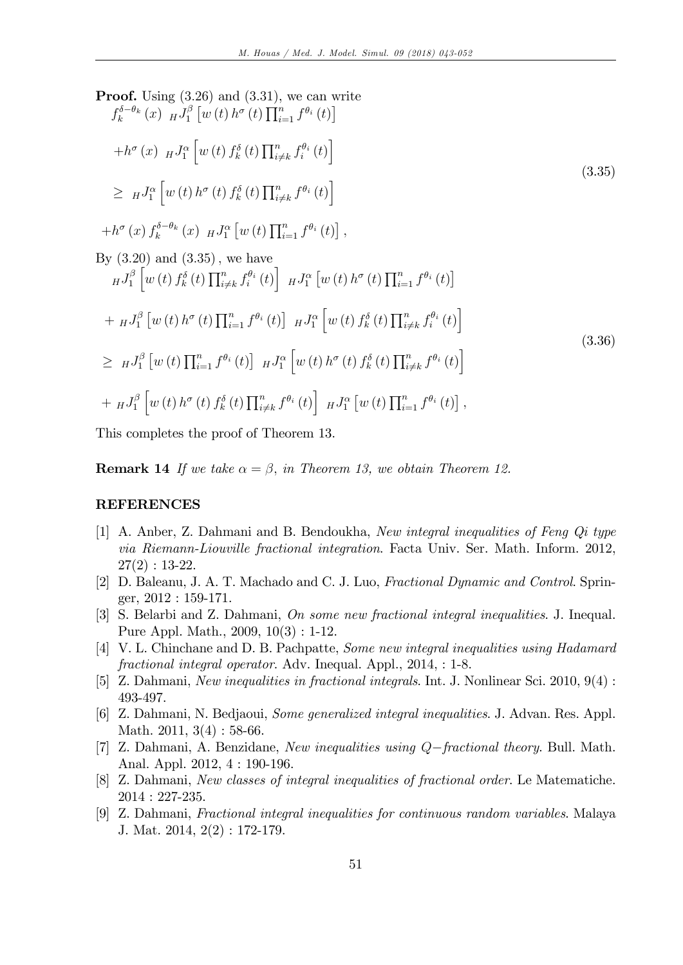Proof. Using (3.26) and (3.31), we can write  
\n
$$
f_k^{\delta-\theta_k}(x) HJ_1^{\beta}[w(t) h^{\sigma}(t) \prod_{i=1}^n f^{\theta_i}(t)]
$$
  
\n $+h^{\sigma}(x) HJ_1^{\alpha}[w(t) f_k^{\delta}(t) \prod_{i \neq k}^n f_i^{\theta_i}(t)]$   
\n $\geq HJ_1^{\alpha}[w(t) h^{\sigma}(t) f_k^{\delta}(t) \prod_{i \neq k}^n f^{\theta_i}(t)]$   
\n $+h^{\sigma}(x) f_k^{\delta-\theta_k}(x) HJ_1^{\alpha}[w(t) \prod_{i=1}^n f^{\theta_i}(t)],$   
\nBy (3.20) and (3.35), we have  
\n $HJ_1^{\beta}[w(t) f_k^{\delta}(t) \prod_{i \neq k}^n f_i^{\theta_i}(t)] HJ_1^{\alpha}[w(t) h^{\sigma}(t) \prod_{i=1}^n f^{\theta_i}(t)]$   
\n $+HJ_1^{\beta}[w(t) h^{\sigma}(t) \prod_{i=1}^n f^{\theta_i}(t)] HJ_1^{\alpha}[w(t) f_k^{\delta}(t) \prod_{i \neq k}^n f_i^{\theta_i}(t)]$   
\n $\geq HJ_1^{\beta}[w(t) \prod_{i=1}^n f^{\theta_i}(t)] HJ_1^{\alpha}[w(t) f_k^{\delta}(t) \prod_{i \neq k}^n f_i^{\theta_i}(t)]$   
\n $\geq HJ_1^{\beta}[w(t) \prod_{i=1}^n f^{\theta_i}(t)] HJ_1^{\alpha}[w(t) h^{\sigma}(t) f_k^{\delta}(t) \prod_{i \neq k}^n f^{\theta_i}(t)]$ , (3.36)  
\n $\geq HJ_1^{\beta}[w(t) h^{\sigma}(t) f_k^{\delta}(t) \prod_{i \neq k}^n f^{\theta_i}(t)] HJ_1^{\alpha}[w(t) \prod_{i=1}^n f^{\theta_i}(t)]$ ,

This completes the proof of Theorem 13.

**Remark 14** If we take  $\alpha = \beta$ , in Theorem 13, we obtain Theorem 12.

#### REFERENCES

- [1] A. Anber, Z. Dahmani and B. Bendoukha, New integral inequalities of Feng Qi type via Riemann-Liouville fractional integration. Facta Univ. Ser. Math. Inform. 2012,  $27(2): 13-22.$
- [2] D. Baleanu, J. A. T. Machado and C. J. Luo, Fractional Dynamic and Control. Springer, 2012 : 159-171.
- [3] S. Belarbi and Z. Dahmani, On some new fractional integral inequalities. J. Inequal. Pure Appl. Math., 2009, 10(3) : 1-12.
- [4] V. L. Chinchane and D. B. Pachpatte, Some new integral inequalities using Hadamard fractional integral operator. Adv. Inequal. Appl., 2014, : 1-8.
- [5] Z. Dahmani, New inequalities in fractional integrals. Int. J. Nonlinear Sci. 2010, 9(4) : 493-497.
- [6] Z. Dahmani, N. Bedjaoui, Some generalized integral inequalities. J. Advan. Res. Appl. Math. 2011, 3(4): 58-66.
- [7] Z. Dahmani, A. Benzidane, New inequalities using  $Q$ -fractional theory. Bull. Math. Anal. Appl. 2012, 4 : 190-196.
- [8] Z. Dahmani, New classes of integral inequalities of fractional order. Le Matematiche. 2014 : 227-235.
- [9] Z. Dahmani, Fractional integral inequalities for continuous random variables. Malaya J. Mat. 2014, 2(2) : 172-179.